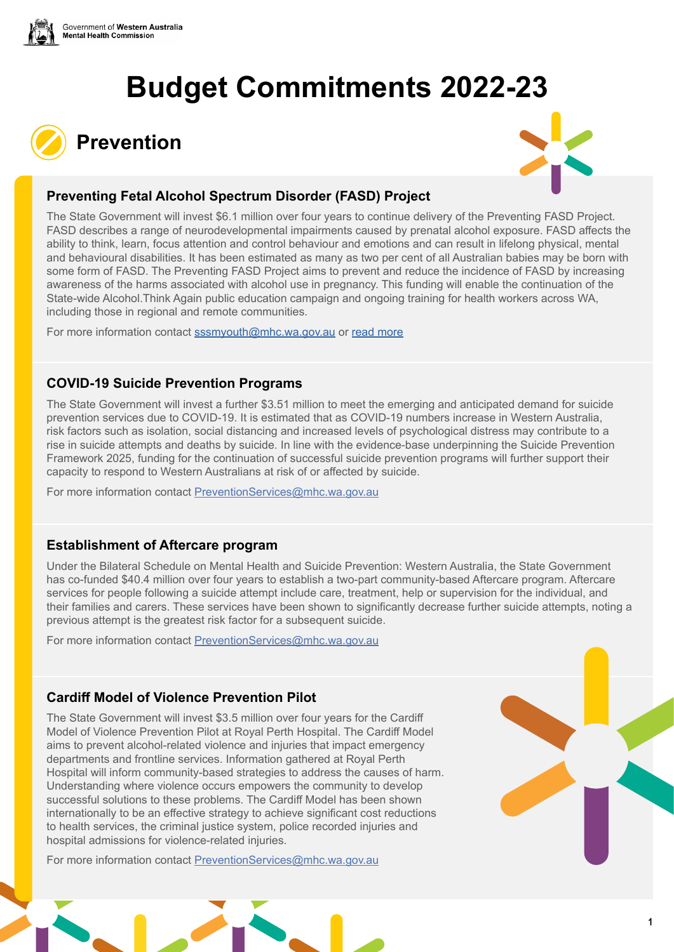





## **Preventing Fetal Alcohol Spectrum Disorder (FASD) Project**

The State Government will invest \$6.1 million over four years to continue delivery of the Preventing FASD Project. FASD describes a range of neurodevelopmental impairments caused by prenatal alcohol exposure. FASD affects the ability to think, learn, focus attention and control behaviour and emotions and can result in lifelong physical, mental and behavioural disabilities. It has been estimated as many as two per cent of all Australian babies may be born with some form of FASD. The Preventing FASD Project aims to prevent and reduce the incidence of FASD by increasing awareness of the harms associated with alcohol use in pregnancy. This funding will enable the continuation of the State-wide Alcohol.Think Again public education campaign and ongoing training for health workers across WA, including those in regional and remote communities.

For more information contact [sssmyouth@mhc.wa.gov.au](mailto:sssmyouth@mhc.wa.gov.au) or [read more](https://alcoholthinkagain.com.au/campaigns/alcohol-and-pregnancy-one-drink/)

#### **COVID-19 Suicide Prevention Programs**

The State Government will invest a further \$3.51 million to meet the emerging and anticipated demand for suicide prevention services due to COVID-19. It is estimated that as COVID-19 numbers increase in Western Australia, risk factors such as isolation, social distancing and increased levels of psychological distress may contribute to a rise in suicide attempts and deaths by suicide. In line with the evidence-base underpinning the Suicide Prevention Framework 2025, funding for the continuation of successful suicide prevention programs will further support their capacity to respond to Western Australians at risk of or affected by suicide.

For more information contact [PreventionServices@mhc.wa.gov.au](mailto:PreventionServices@mhc.wa.gov.au)

#### **Establishment of Aftercare program**

Under the Bilateral Schedule on Mental Health and Suicide Prevention: Western Australia, the State Government has co-funded \$40.4 million over four years to establish a two-part community-based Aftercare program. Aftercare services for people following a suicide attempt include care, treatment, help or supervision for the individual, and their families and carers. These services have been shown to significantly decrease further suicide attempts, noting a previous attempt is the greatest risk factor for a subsequent suicide.

For more information contact [PreventionServices@mhc.wa.gov.au](mailto:PreventionServices@mhc.wa.gov.au)

## **Cardiff Model of Violence Prevention Pilot**

The State Government will invest \$3.5 million over four years for the Cardiff Model of Violence Prevention Pilot at Royal Perth Hospital. The Cardiff Model aims to prevent alcohol-related violence and injuries that impact emergency departments and frontline services. Information gathered at Royal Perth Hospital will inform community-based strategies to address the causes of harm. Understanding where violence occurs empowers the community to develop successful solutions to these problems. The Cardiff Model has been shown internationally to be an effective strategy to achieve significant cost reductions to health services, the criminal justice system, police recorded injuries and hospital admissions for violence-related injuries.

For more information contact [PreventionServices@mhc.wa.gov.au](mailto:PreventionServices@mhc.wa.gov.au)

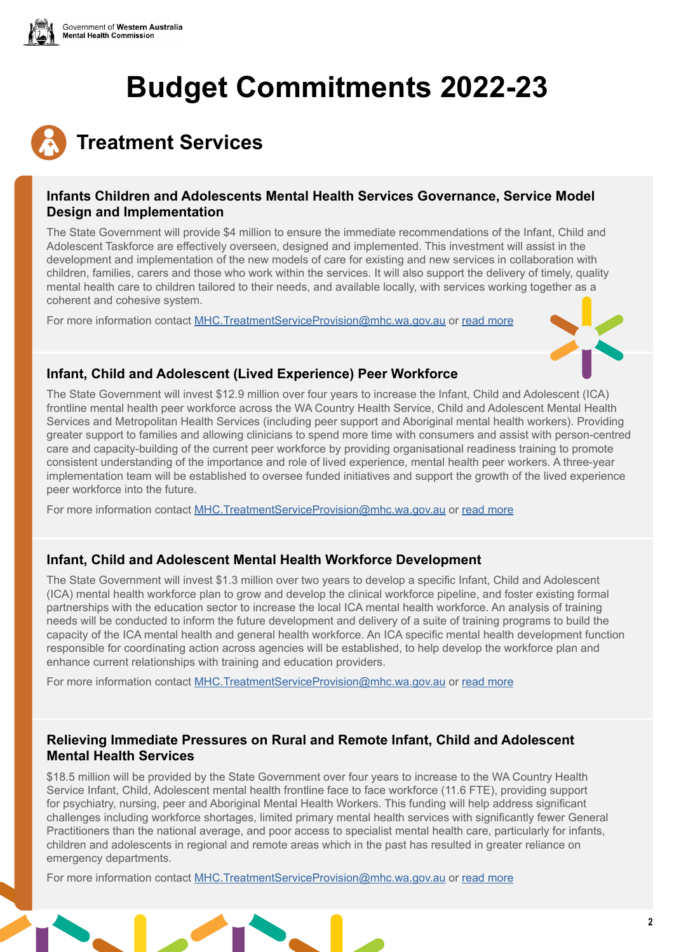



#### **Infants Children and Adolescents Mental Health Services Governance, Service Model Design and Implementation**

The State Government will provide \$4 million to ensure the immediate recommendations of the Infant, Child and Adolescent Taskforce are effectively overseen, designed and implemented. This investment will assist in the development and implementation of the new models of care for existing and new services in collaboration with children, families, carers and those who work within the services. It will also support the delivery of timely, quality mental health care to children tailored to their needs, and available locally, with services working together as a coherent and cohesive system.

For more information contact [MHC.TreatmentServiceProvision@mhc.wa.gov.au](mailto:MHC.TreatmentServiceProvision@mhc.wa.gov.au) or [read more](https://www.mhc.wa.gov.au/about-us/major-projects/ministerial-taskforce-into-public-mental-health-services-for-infants-children-and-adolescents-aged-0-18-years-in-western-australia-ica-taskforce/)



#### **Infant, Child and Adolescent (Lived Experience) Peer Workforce**

The State Government will invest \$12.9 million over four years to increase the Infant, Child and Adolescent (ICA) frontline mental health peer workforce across the WA Country Health Service, Child and Adolescent Mental Health Services and Metropolitan Health Services (including peer support and Aboriginal mental health workers). Providing greater support to families and allowing clinicians to spend more time with consumers and assist with person-centred care and capacity-building of the current peer workforce by providing organisational readiness training to promote consistent understanding of the importance and role of lived experience, mental health peer workers. A three-year implementation team will be established to oversee funded initiatives and support the growth of the lived experience peer workforce into the future.

For more information contact [MHC.TreatmentServiceProvision@mhc.wa.gov.au](mailto:MHC.TreatmentServiceProvision@mhc.wa.gov.au) or [read more](https://www.mhc.wa.gov.au/about-us/major-projects/ministerial-taskforce-into-public-mental-health-services-for-infants-children-and-adolescents-aged-0-18-years-in-western-australia-ica-taskforce/)

## **Infant, Child and Adolescent Mental Health Workforce Development**

The State Government will invest \$1.3 million over two years to develop a specific Infant, Child and Adolescent (ICA) mental health workforce plan to grow and develop the clinical workforce pipeline, and foster existing formal partnerships with the education sector to increase the local ICA mental health workforce. An analysis of training needs will be conducted to inform the future development and delivery of a suite of training programs to build the capacity of the ICA mental health and general health workforce. An ICA specific mental health development function responsible for coordinating action across agencies will be established, to help develop the workforce plan and enhance current relationships with training and education providers.

For more information contact [MHC.TreatmentServiceProvision@mhc.wa.gov.au](mailto:MHC.TreatmentServiceProvision@mhc.wa.gov.au) or [read more](https://www.mhc.wa.gov.au/about-us/major-projects/ministerial-taskforce-into-public-mental-health-services-for-infants-children-and-adolescents-aged-0-18-years-in-western-australia-ica-taskforce/)

#### **Relieving Immediate Pressures on Rural and Remote Infant, Child and Adolescent Mental Health Services**

\$18.5 million will be provided by the State Government over four years to increase to the WA Country Health Service Infant, Child, Adolescent mental health frontline face to face workforce (11.6 FTE), providing support for psychiatry, nursing, peer and Aboriginal Mental Health Workers. This funding will help address significant challenges including workforce shortages, limited primary mental health services with significantly fewer General Practitioners than the national average, and poor access to specialist mental health care, particularly for infants, children and adolescents in regional and remote areas which in the past has resulted in greater reliance on emergency departments.

For more information contact [MHC.TreatmentServiceProvision@mhc.wa.gov.au](mailto:MHC.TreatmentServiceProvision@mhc.wa.gov.au) or [read more](https://www.mhc.wa.gov.au/about-us/major-projects/ministerial-taskforce-into-public-mental-health-services-for-infants-children-and-adolescents-aged-0-18-years-in-western-australia-ica-taskforce/)

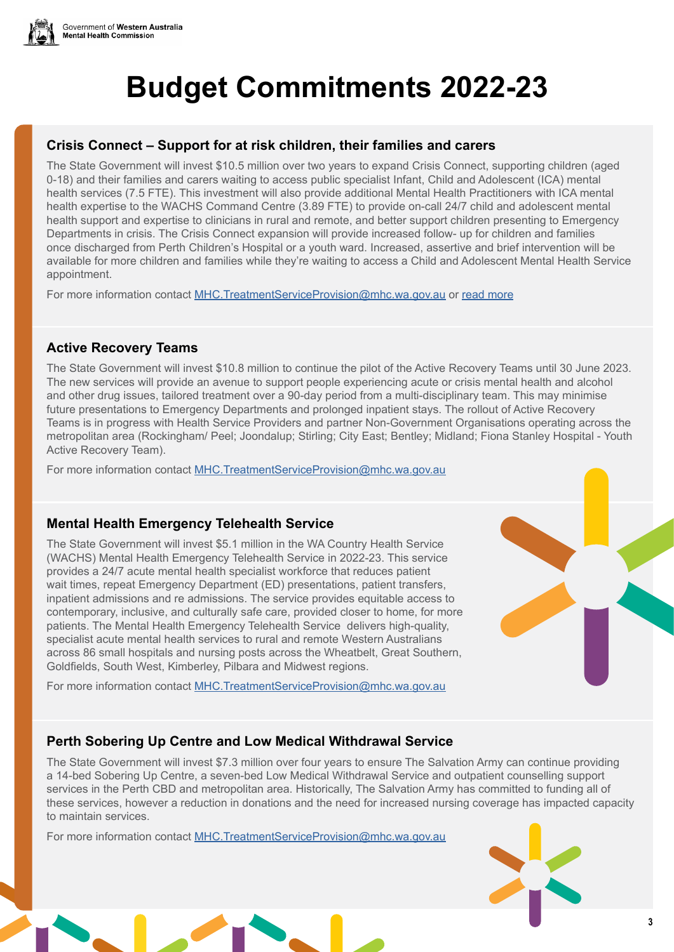

## **Crisis Connect – Support for at risk children, their families and carers**

The State Government will invest \$10.5 million over two years to expand Crisis Connect, supporting children (aged 0-18) and their families and carers waiting to access public specialist Infant, Child and Adolescent (ICA) mental health services (7.5 FTE). This investment will also provide additional Mental Health Practitioners with ICA mental health expertise to the WACHS Command Centre (3.89 FTE) to provide on-call 24/7 child and adolescent mental health support and expertise to clinicians in rural and remote, and better support children presenting to Emergency Departments in crisis. The Crisis Connect expansion will provide increased follow- up for children and families once discharged from Perth Children's Hospital or a youth ward. Increased, assertive and brief intervention will be available for more children and families while they're waiting to access a Child and Adolescent Mental Health Service appointment.

For more information contact [MHC.TreatmentServiceProvision@mhc.wa.gov.au](mailto:MHC.TreatmentServiceProvision@mhc.wa.gov.au) or [read more](https://www.mhc.wa.gov.au/about-us/major-projects/ministerial-taskforce-into-public-mental-health-services-for-infants-children-and-adolescents-aged-0-18-years-in-western-australia-ica-taskforce/)

## **Active Recovery Teams**

The State Government will invest \$10.8 million to continue the pilot of the Active Recovery Teams until 30 June 2023. The new services will provide an avenue to support people experiencing acute or crisis mental health and alcohol and other drug issues, tailored treatment over a 90-day period from a multi-disciplinary team. This may minimise future presentations to Emergency Departments and prolonged inpatient stays. The rollout of Active Recovery Teams is in progress with Health Service Providers and partner Non-Government Organisations operating across the metropolitan area (Rockingham/ Peel; Joondalup; Stirling; City East; Bentley; Midland; Fiona Stanley Hospital - Youth Active Recovery Team).

For more information contact [MHC.TreatmentServiceProvision@mhc.wa.gov.au](mailto:MHC.TreatmentServiceProvision@mhc.wa.gov.au)

#### **Mental Health Emergency Telehealth Service**

The State Government will invest \$5.1 million in the WA Country Health Service (WACHS) Mental Health Emergency Telehealth Service in 2022-23. This service provides a 24/7 acute mental health specialist workforce that reduces patient wait times, repeat Emergency Department (ED) presentations, patient transfers, inpatient admissions and re admissions. The service provides equitable access to contemporary, inclusive, and culturally safe care, provided closer to home, for more patients. The Mental Health Emergency Telehealth Service delivers high-quality, specialist acute mental health services to rural and remote Western Australians across 86 small hospitals and nursing posts across the Wheatbelt, Great Southern, Goldfields, South West, Kimberley, Pilbara and Midwest regions.

For more information contact [MHC.TreatmentServiceProvision@mhc.wa.gov.au](mailto:MHC.TreatmentServiceProvision@mhc.wa.gov.au)

## **Perth Sobering Up Centre and Low Medical Withdrawal Service**

The State Government will invest \$7.3 million over four years to ensure The Salvation Army can continue providing a 14-bed Sobering Up Centre, a seven-bed Low Medical Withdrawal Service and outpatient counselling support services in the Perth CBD and metropolitan area. Historically, The Salvation Army has committed to funding all of these services, however a reduction in donations and the need for increased nursing coverage has impacted capacity to maintain services.

For more information contact [MHC.TreatmentServiceProvision@mhc.wa.gov.au](mailto:MHC.TreatmentServiceProvision@mhc.wa.gov.au)